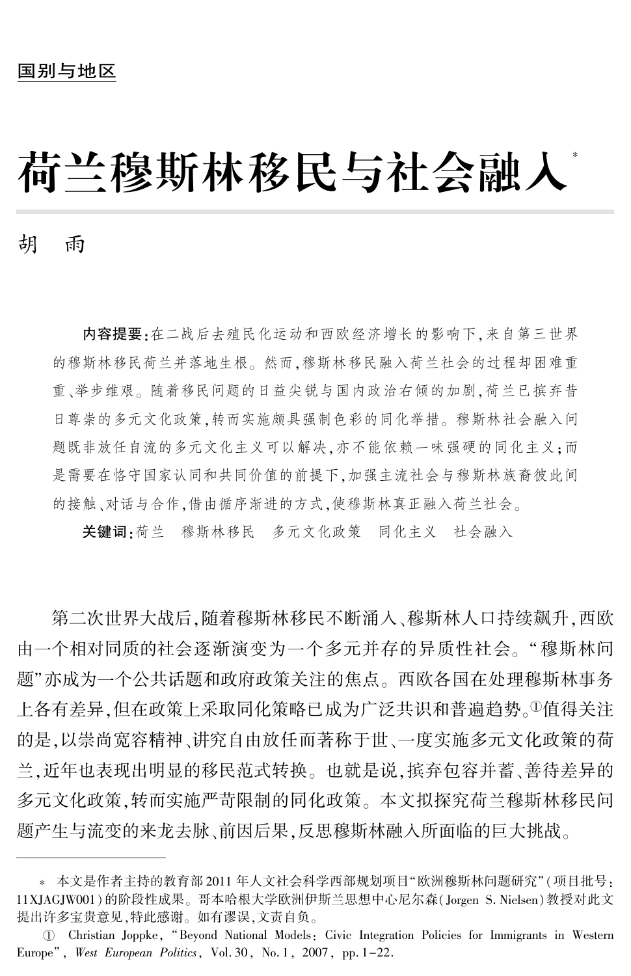# 荷兰穆斯林移民与社会融入\*

胡 雨

内容提要:在二战后去殖民化运动和西欧经济增长的影响下,来自第三世界 的穆斯林移民荷兰并落地生根。 然而,穆斯林移民融入荷兰社会的过程却困难重 重、举步维艰。 随着移民问题的日益尖锐与国内政治右倾的加剧,荷兰已摈弃昔 日尊崇的多元文化政策,转而实施颇具强制色彩的同化举措。 穆斯林社会融入问 题既非放任自流的多元文化主义可以解决,亦不能依赖一味强硬的同化主义;而 是需要在恪守国家认同和共同价值的前提下,加强主流社会与穆斯林族裔彼此间 的接触、对话与合作,借由循序渐进的方式,使穆斯林真正融入荷兰社会。

关键词:荷兰 穆斯林移民 多元文化政策 同化主义 社会融入

第二次世界大战后,随着穆斯林移民不断涌入、穆斯林人口持续飙升,西欧 由一个相对同质的社会逐渐演变为一个多元并存的异质性社会。 "穆斯林问 题"亦成为一个公共话题和政府政策关注的焦点。 西欧各国在处理穆斯林事务 上各有差异,但在政策上采取同化策略已成为广泛共识和普遍趋势。①值得关注 的是,以崇尚宽容精神、讲究自由放任而著称于世、一度实施多元文化政策的荷 兰,近年也表现出明显的移民范式转换。 也就是说,摈弃包容并蓄、善待差异的 多元文化政策,转而实施严苛限制的同化政策。 本文拟探究荷兰穆斯林移民问 题产生与流变的来龙去脉、前因后果,反思穆斯林融入所面临的巨大挑战。

 $\;$  \* 本文是作者主持的教育部 2011 年人文社会科学西部规划项目"欧洲穆斯林问题研究"(项目批号: 11XJAGJW001)的阶段性成果。 哥本哈根大学欧洲伊斯兰思想中心尼尔森(Jorgen S. Nielsen)教授对此文 提出许多宝贵意见,特此感谢。 如有谬误,文责自负。

淤 Christian Joppke, "Beyond National Models: Civic Integration Policies for Immigrants in Western Europe", West European Politics, Vol. 30, No. 1, 2007, pp. 1-22.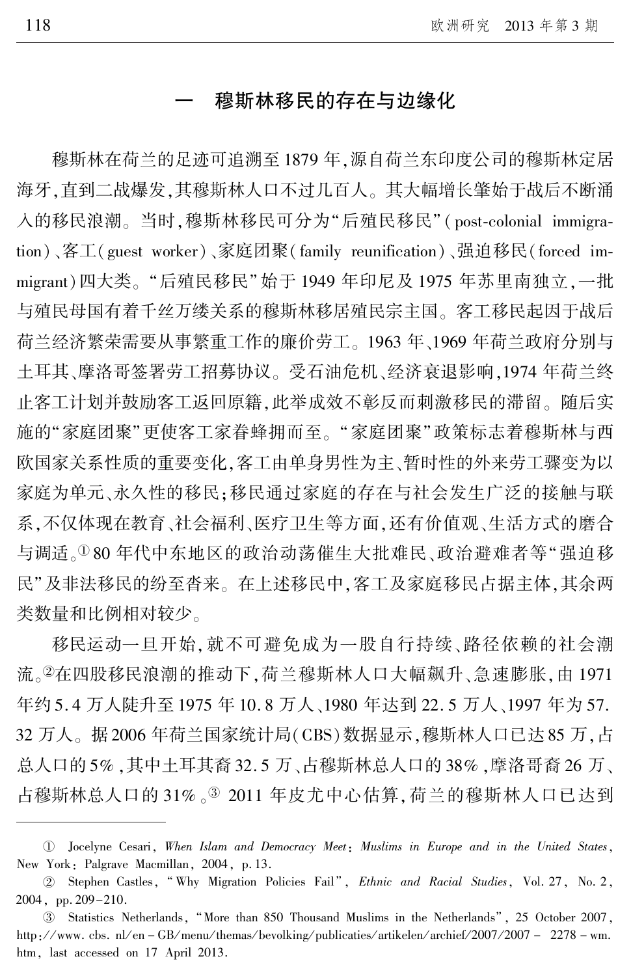## 穆斯林移民的存在与边缘化

穆斯林在荷兰的足迹可追溯至 1879 年,源自荷兰东印度公司的穆斯林定居 海牙,直到二战爆发,其穆斯林人口不过几百人。 其大幅增长肇始于战后不断涌 入的移民浪潮。当时,穆斯林移民可分为"后殖民移民"(post-colonial immigration)、客工(guest worker)、家庭团聚(family reunification)、强迫移民(forced immigrant)四大类。"后殖民移民"始于 1949 年印尼及 1975 年苏里南独立,一批 与殖民母国有着千丝万缕关系的穆斯林移居殖民宗主国。 客工移民起因于战后 荷兰经济繁荣需要从事繁重工作的廉价劳工。 1963 年、1969 年荷兰政府分别与 土耳其、摩洛哥签署劳工招募协议。 受石油危机、经济衰退影响,1974 年荷兰终 止客工计划并鼓励客工返回原籍,此举成效不彰反而刺激移民的滞留。 随后实 施的"家庭团聚"更使客工家眷蜂拥而至。"家庭团聚"政策标志着穆斯林与西 欧国家关系性质的重要变化,客工由单身男性为主、暂时性的外来劳工骤变为以 家庭为单元、永久性的移民;移民通过家庭的存在与社会发生广泛的接触与联 系,不仅体现在教育、社会福利、医疗卫生等方面,还有价值观、生活方式的磨合 与调适。180年代中东地区的政治动荡催生大批难民、政治避难者等"强迫移 民"及非法移民的纷至沓来。在上述移民中,客工及家庭移民占据主体,其余两 类数量和比例相对较少。

移民运动一旦开始,就不可避免成为一股自行持续、路径依赖的社会潮 流。②在四股移民浪潮的推动下,荷兰穆斯林人口大幅飙升、急速膨胀,由 1971 年约 5. 4 万人陡升至 1975 年 10. 8 万人、1980 年达到 22. 5 万人、1997 年为 57. 32 万人。 据 2006 年荷兰国家统计局(CBS)数据显示,穆斯林人口已达 85 万,占 总人口的 5% ,其中土耳其裔 32. 5 万、占穆斯林总人口的 38% ,摩洛哥裔 26 万、 占穆斯林总人口的 31% 。3 2011 年皮尤中心估算, 荷兰的穆斯林人口已达到

淤 Jocelyne Cesari, When Islam and Democracy Meet: Muslims in Europe and in the United States, New York: Palgrave Macmillan, 2004, p. 13.

<sup>2</sup> Stephen Castles, "Why Migration Policies Fail", Ethnic and Racial Studies, Vol. 27, No. 2, 2004, pp. 209-210.

<sup>3</sup> Statistics Netherlands, "More than 850 Thousand Muslims in the Netherlands<sup>7</sup>, 25 October 2007, http://www.cbs.nl/en - GB/menu/themas/bevolking/publicaties/artikelen/archief/2007/2007 - 2278 - wm. htm, last accessed on 17 April 2013.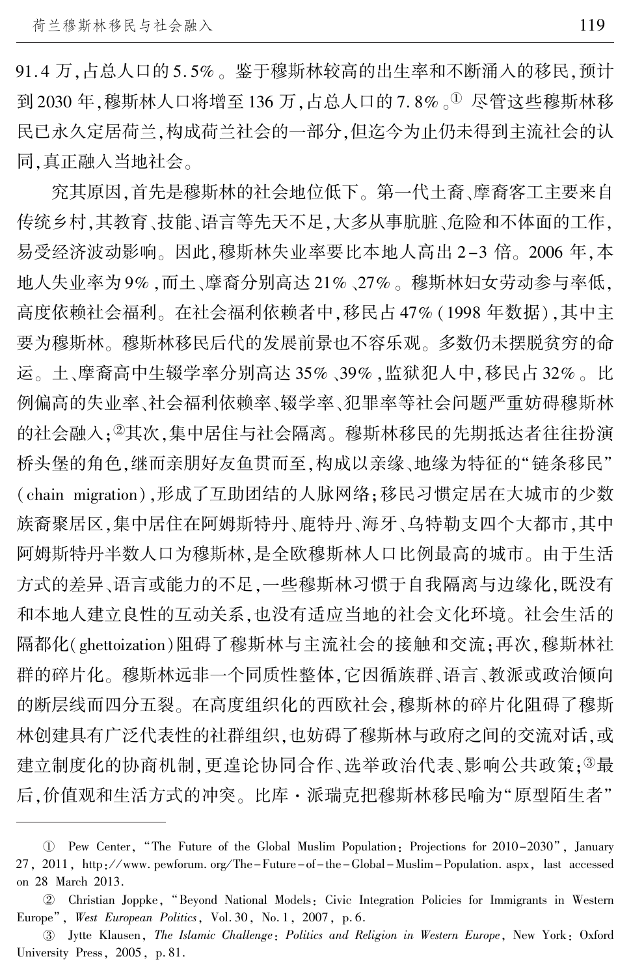91. 4 万,占总人口的 5. 5% 。 鉴于穆斯林较高的出生率和不断涌入的移民,预计 到 2030年,穆斯林人口将增至136万,占总人口的7.8%。1尽管这些穆斯林移 民已永久定居荷兰,构成荷兰社会的一部分,但迄今为止仍未得到主流社会的认 同,真正融入当地社会。

究其原因,首先是穆斯林的社会地位低下。 第一代土裔、摩裔客工主要来自 传统乡村,其教育、技能、语言等先天不足,大多从事肮脏、危险和不体面的工作, 易受经济波动影响。 因此,穆斯林失业率要比本地人高出 2-3 倍。 2006 年,本 地人失业率为 9% ,而土、摩裔分别高达 21% 、27% 。 穆斯林妇女劳动参与率低, 高度依赖社会福利。 在社会福利依赖者中,移民占 47% (1998 年数据),其中主 要为穆斯林。 穆斯林移民后代的发展前景也不容乐观。 多数仍未摆脱贫穷的命 运。 土、摩裔高中生辍学率分别高达 35% 、39% ,监狱犯人中,移民占 32% 。 比 例偏高的失业率、社会福利依赖率、辍学率、犯罪率等社会问题严重妨碍穆斯林 的社会融入;2其次,集中居住与社会隔离。 穆斯林移民的先期抵达者往往扮演 桥头堡的角色,继而亲朋好友鱼贯而至,构成以亲缘、地缘为特征的"链条移民" (chain migration),形成了互助团结的人脉网络;移民习惯定居在大城市的少数 族裔聚居区,集中居住在阿姆斯特丹、鹿特丹、海牙、乌特勒支四个大都市,其中 阿姆斯特丹半数人口为穆斯林,是全欧穆斯林人口比例最高的城市。 由于生活 方式的差异、语言或能力的不足,一些穆斯林习惯于自我隔离与边缘化,既没有 和本地人建立良性的互动关系,也没有适应当地的社会文化环境。 社会生活的 隔都化(ghettoization)阻碍了穆斯林与主流社会的接触和交流;再次,穆斯林社 群的碎片化。 穆斯林远非一个同质性整体,它因循族群、语言、教派或政治倾向 的断层线而四分五裂。 在高度组织化的西欧社会,穆斯林的碎片化阻碍了穆斯 林创建具有广泛代表性的社群组织,也妨碍了穆斯林与政府之间的交流对话,或 建立制度化的协商机制,更遑论协同合作、选举政治代表、影响公共政策;3最 后,价值观和生活方式的冲突。比库·派瑞克把穆斯林移民喻为"原型陌生者"

U Pew Center, "The Future of the Global Muslim Population: Projections for 2010–2030<sup>7</sup>, January 27, 2011, http: / / www. pewforum. org / The-Future-of-the-Global-Muslim-Population. aspx, last accessed on 28 March 2013.

于 Christian Joppke, "Beyond National Models: Civic Integration Policies for Immigrants in Western Europe", West European Politics, Vol. 30, No. 1, 2007, p. 6.

盂 Jytte Klausen, The Islamic Challenge: Politics and Religion in Western Europe, New York: Oxford University Press, 2005, p. 81.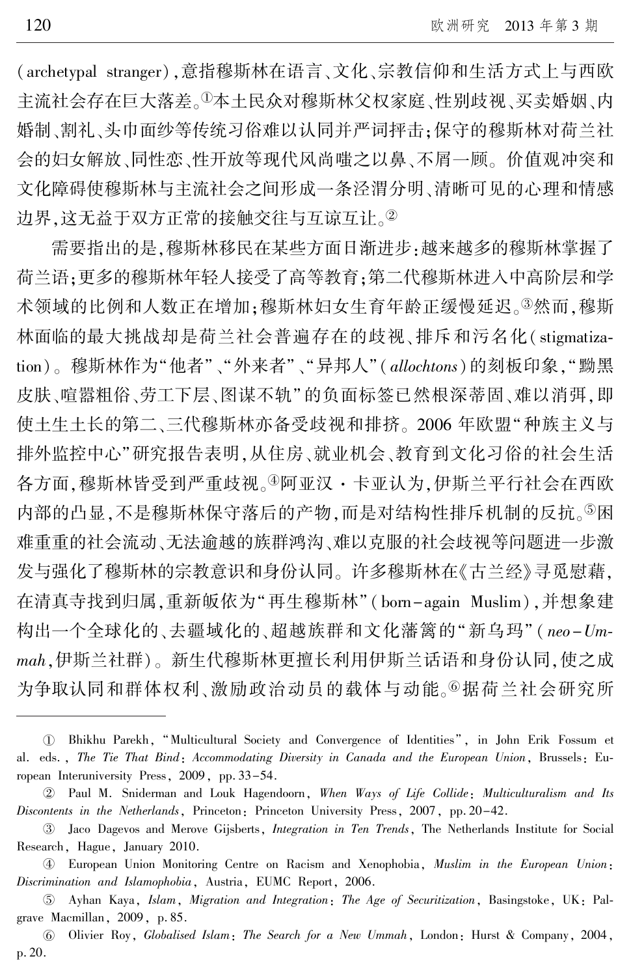(archetypal stranger),意指穆斯林在语言、文化、宗教信仰和生活方式上与西欧 主流社会存在巨大落差。1本土民众对穆斯林父权家庭、性别歧视、买卖婚姻、内 婚制、割礼、头巾面纱等传统习俗难以认同并严词抨击;保守的穆斯林对荷兰社 会的妇女解放、同性恋、性开放等现代风尚嗤之以鼻、不屑一顾。 价值观冲突和 文化障碍使穆斯林与主流社会之间形成一条泾渭分明、清晰可见的心理和情感 边界,这无益于双方正常的接触交往与互谅互让。<sup>②</sup>

需要指出的是,穆斯林移民在某些方面日渐进步:越来越多的穆斯林掌握了 荷兰语;更多的穆斯林年轻人接受了高等教育;第二代穆斯林进入中高阶层和学 术领域的比例和人数正在增加;穆斯林妇女生育年龄正缓慢延迟。<sup>③</sup>然而,穆斯 林面临的最大挑战却是荷兰社会普遍存在的歧视、排斥和污名化( stigmatization)。穆斯林作为"他者"、"外来者"、"异邦人"(allochtons)的刻板印象,"黝黑 皮肤、喧嚣粗俗、劳工下层、图谋不轨"的负面标签已然根深蒂固、难以消弭,即 使土生土长的第二、三代穆斯林亦备受歧视和排挤。 2006 年欧盟"种族主义与 排外监控中心"研究报告表明,从住房、就业机会、教育到文化习俗的社会生活 各方面,穆斯林皆受到严重歧视。<sup>4</sup>阿亚汉·卡亚认为,伊斯兰平行社会在西欧 内部的凸显,不是穆斯林保守落后的产物,而是对结构性排斥机制的反抗。<sup>⑤</sup>困 难重重的社会流动、无法逾越的族群鸿沟、难以克服的社会歧视等问题进一步激 发与强化了穆斯林的宗教意识和身份认同。 许多穆斯林在《古兰经》寻觅慰藉, 在清真寺找到归属,重新皈依为"再生穆斯林"(born-again Muslim),并想象建 构出一个全球化的、去疆域化的、超越族群和文化藩篱的"新乌玛" (neo-Ummah,伊斯兰社群)。 新生代穆斯林更擅长利用伊斯兰话语和身份认同,使之成 为争取认同和群体权利、激励政治动员的载体与动能。©据荷兰社会研究所

U Bhikhu Parekh, "Multicultural Society and Convergence of Identities<sup>?</sup>, in John Erik Fossum et al. eds., The Tie That Bind: Accommodating Diversity in Canada and the European Union, Brussels: European Interuniversity Press, 2009, pp. 33-54.

于 Paul M. Sniderman and Louk Hagendoorn, When Ways of Life Collide: Multiculturalism and Its Discontents in the Netherlands, Princeton: Princeton University Press, 2007, pp. 20–42.

<sup>3</sup> Jaco Dagevos and Merove Gijsberts, *Integration in Ten Trends*, The Netherlands Institute for Social Research, Hague, January 2010.

榆 European Union Monitoring Centre on Racism and Xenophobia, Muslim in the European Union: Discrimination and Islamophobia, Austria, EUMC Report, 2006.

 $\circledS$  Ayhan Kaya, *Islam, Migration and Integration: The Age of Securitization*, Basingstoke, UK: Palgrave Macmillan, 2009, p. 85.

愚 Olivier Roy, Globalised Islam: The Search for a New Ummah, London: Hurst & Company, 2004, p. 20.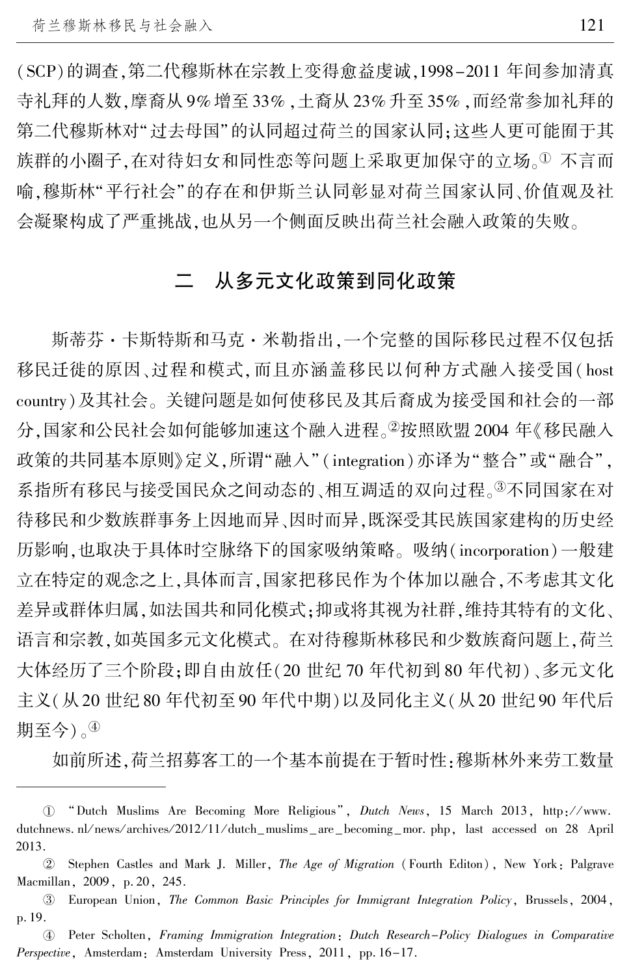(SCP)的调查,第二代穆斯林在宗教上变得愈益虔诚,1998-2011 年间参加清真 寺礼拜的人数,摩裔从 9% 增至 33% ,土裔从 23% 升至 35% ,而经常参加礼拜的 第二代穆斯林对"过去母国"的认同超过荷兰的国家认同;这些人更可能囿于其 族群的小圈子,在对待妇女和同性恋等问题上采取更加保守的立场。1 不言而 喻,穆斯林"平行社会"的存在和伊斯兰认同彰显对荷兰国家认同、价值观及社 会凝聚构成了严重挑战,也从另一个侧面反映出荷兰社会融入政策的失败。

## 二 从多元文化政策到同化政策

斯蒂芬·卡斯特斯和马克·米勒指出,一个完整的国际移民过程不仅包括 移民迁徙的原因、过程和模式,而且亦涵盖移民以何种方式融入接受国( host country)及其社会。 关键问题是如何使移民及其后裔成为接受国和社会的一部 分,国家和公民社会如何能够加速这个融入进程。②按照欧盟 2004 年《移民融入 政策的共同基本原则》定义,所谓"融入" ( integration ) 亦译为"整合"或"融合", 系指所有移民与接受国民众之间动态的、相互调适的双向过程。③不同国家在对 待移民和少数族群事务上因地而异、因时而异,既深受其民族国家建构的历史经 历影响,也取决于具体时空脉络下的国家吸纳策略。 吸纳(incorporation)一般建 立在特定的观念之上,具体而言,国家把移民作为个体加以融合,不考虑其文化 差异或群体归属,如法国共和同化模式;抑或将其视为社群,维持其特有的文化、 语言和宗教,如英国多元文化模式。 在对待穆斯林移民和少数族裔问题上,荷兰 大体经历了三个阶段;即自由放任(20 世纪 70 年代初到 80 年代初)、多元文化 主义(从 20 世纪 80 年代初至 90 年代中期)以及同化主义(从 20 世纪 90 年代后 期至今)。<sup>榆</sup>

如前所述,荷兰招募客工的一个基本前提在于暂时性:穆斯林外来劳工数量

<sup>1 &</sup>quot;Dutch Muslims Are Becoming More Religious", *Dutch News*, 15 March 2013, http://www. dutchnews. nl/news/archives/2012/11/dutch\_muslims\_are\_becoming\_mor. php, last accessed on 28 April 2013.

于 Stephen Castles and Mark J. Miller, The Age of Migration (Fourth Editon), New York: Palgrave Macmillan, 2009, p. 20, 245.

盂 European Union, The Common Basic Principles for Immigrant Integration Policy, Brussels, 2004, p. 19.

榆 Peter Scholten, Framing Immigration Integration: Dutch Research-Policy Dialogues in Comparative Perspective, Amsterdam: Amsterdam University Press, 2011, pp. 16-17.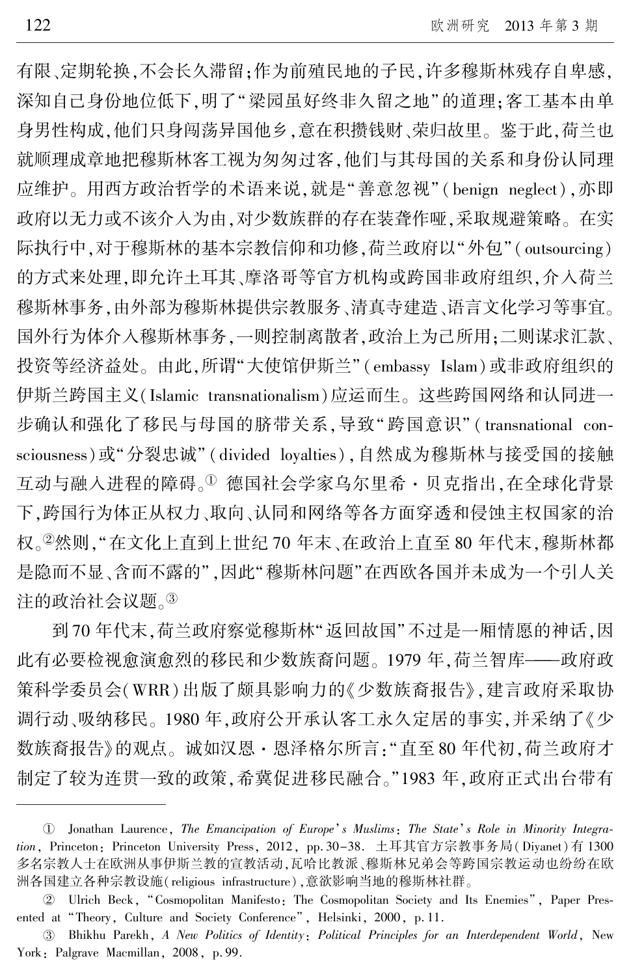有限、定期轮换,不会长久滞留;作为前殖民地的子民,许多穆斯林残存自卑感, 深知自己身份地位低下,明了"梁园虽好终非久留之地"的道理;客工基本由单 身男性构成,他们只身闯荡异国他乡,意在积攒钱财、荣归故里。 鉴于此,荷兰也 就顺理成章地把穆斯林客工视为匆匆过客,他们与其母国的关系和身份认同理 应维护。用西方政治哲学的术语来说,就是"善意忽视"(benign neglect),亦即 政府以无力或不该介入为由,对少数族群的存在装聋作哑,采取规避策略。 在实 际执行中,对于穆斯林的基本宗教信仰和功修,荷兰政府以"外包"(outsourcing) 的方式来处理,即允许土耳其、摩洛哥等官方机构或跨国非政府组织,介入荷兰 穆斯林事务,由外部为穆斯林提供宗教服务、清真寺建造、语言文化学习等事宜。 国外行为体介入穆斯林事务,一则控制离散者,政治上为己所用;二则谋求汇款、 投资等经济益处。由此,所谓"大使馆伊斯兰"(embassy Islam)或非政府组织的 伊斯兰跨国主义(Islamic transnationalism)应运而生。 这些跨国网络和认同进一 步确认和强化了移民与母国的脐带关系,导致"跨国意识" ( transnational consciousness)或"分裂忠诚"(divided loyalties),自然成为穆斯林与接受国的接触 互动与融入进程的障碍。<sup>①</sup> 德国社会学家乌尔里希·贝克指出,在全球化背景 下,跨国行为体正从权力、取向、认同和网络等各方面穿透和侵蚀主权国家的治 权。<sup>于</sup>然则,"在文化上直到上世纪 70 年末、在政治上直至 80 年代末,穆斯林都 是隐而不显、含而不露的",因此"穆斯林问题"在西欧各国并未成为一个引人关 注的政治社会议题。③

到 70 年代末, 荷兰政府察觉穆斯林"返回故国"不过是一厢情愿的神话,因 此有必要检视愈演愈烈的移民和少数族裔问题。 1979 年,荷兰智库———政府政 策科学委员会(WRR)出版了颇具影响力的《少数族裔报告》,建言政府采取协 调行动、吸纳移民。 1980 年,政府公开承认客工永久定居的事实,并采纳了《少 数族裔报告》的观点。 诚如汉恩·恩泽格尔所言:"直至 80 年代初,荷兰政府才 制定了较为连贯一致的政策,希冀促进移民融合。"1983 年,政府正式出台带有

① Jonathan Laurence, *The Emancipation of Europe*'s Muslims: The State's Role in Minority Integration, Princeton: Princeton University Press, 2012, pp. 30-38. 土耳其官方宗教事务局(Diyanet)有 1300 多名宗教人士在欧洲从事伊斯兰教的宣教活动,瓦哈比教派、穆斯林兄弟会等跨国宗教运动也纷纷在欧 洲各国建立各种宗教设施(religious infrastructure),意欲影响当地的穆斯林社群。

<sup>2</sup> Ulrich Beck, "Cosmopolitan Manifesto: The Cosmopolitan Society and Its Enemies", Paper Presented at "Theory, Culture and Society Conference", Helsinki, 2000, p. 11.

盂 Bhikhu Parekh, A New Politics of Identity: Political Principles for an Interdependent World, New York: Palgrave Macmillan, 2008, p. 99.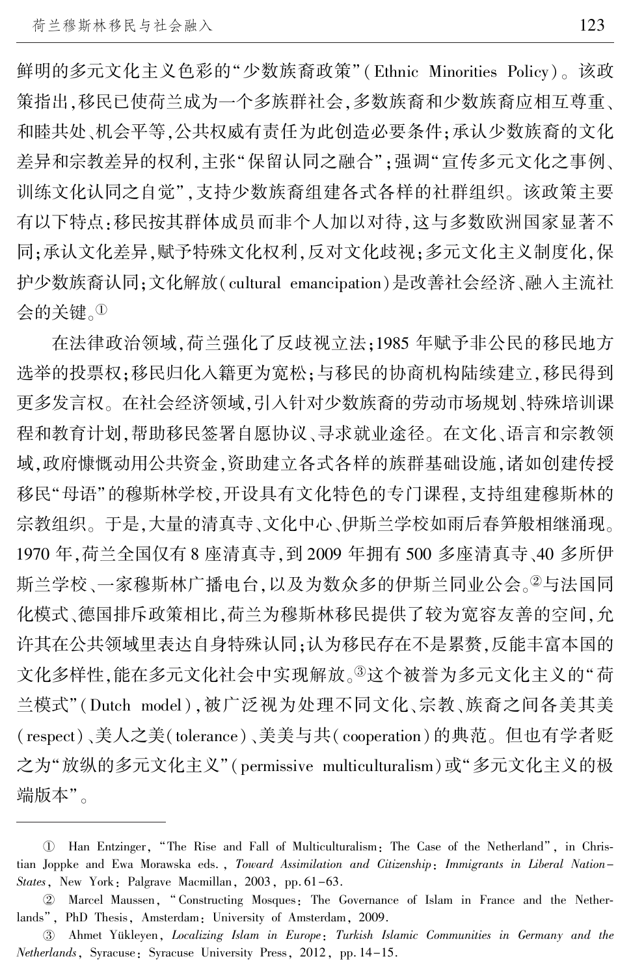鲜明的多元文化主义色彩的"少数族裔政策"(Ethnic Minorities Policy)。该政 策指出,移民已使荷兰成为一个多族群社会,多数族裔和少数族裔应相互尊重、 和睦共处、机会平等,公共权威有责任为此创造必要条件;承认少数族裔的文化 差异和宗教差异的权利,主张"保留认同之融合";强调"宣传多元文化之事例、 训练文化认同之自觉",支持少数族裔组建各式各样的社群组织。该政策主要 有以下特点:移民按其群体成员而非个人加以对待,这与多数欧洲国家显著不 同;承认文化差异,赋予特殊文化权利,反对文化歧视;多元文化主义制度化,保 护少数族裔认同;文化解放(cultural emancipation)是改善社会经济、融入主流社 会的关键。<sup>淤</sup>

在法律政治领域,荷兰强化了反歧视立法;1985 年赋予非公民的移民地方 选举的投票权;移民归化入籍更为宽松;与移民的协商机构陆续建立,移民得到 更多发言权。 在社会经济领域,引入针对少数族裔的劳动市场规划、特殊培训课 程和教育计划,帮助移民签署自愿协议、寻求就业途径。 在文化、语言和宗教领 域,政府慷慨动用公共资金,资助建立各式各样的族群基础设施,诸如创建传授 移民"母语"的穆斯林学校,开设具有文化特色的专门课程,支持组建穆斯林的 宗教组织。 于是,大量的清真寺、文化中心、伊斯兰学校如雨后春笋般相继涌现。 1970 年,荷兰全国仅有 8 座清真寺,到 2009 年拥有 500 多座清真寺、40 多所伊 斯兰学校、一家穆斯林广播电台,以及为数众多的伊斯兰同业公会。2与法国同 化模式、德国排斥政策相比,荷兰为穆斯林移民提供了较为宽容友善的空间,允 许其在公共领域里表达自身特殊认同;认为移民存在不是累赘,反能丰富本国的 文化多样性,能在多元文化社会中实现解放。<sup>3</sup>这个被誉为多元文化主义的"荷 兰模式"(Dutch model),被广泛视为处理不同文化、宗教、族裔之间各美其美 (respect)、美人之美(tolerance)、美美与共( cooperation)的典范。 但也有学者贬 之为"放纵的多元文化主义"(permissive multiculturalism)或"多元文化主义的极 端版本"。

 $\mathbb U$  Han Entzinger, "The Rise and Fall of Multiculturalism: The Case of the Netherland", in Christian Joppke and Ewa Morawska eds. , Toward Assimilation and Citizenship: Immigrants in Liberal Nation-States, New York: Palgrave Macmillan, 2003, pp. 61-63.

<sup>2</sup> Marcel Maussen, "Constructing Mosques: The Governance of Islam in France and the Netherlands", PhD Thesis, Amsterdam: University of Amsterdam, 2009.

盂 Ahmet Y俟kleyen, Localizing Islam in Europe: Turkish Islamic Communities in Germany and the Netherlands, Syracuse: Syracuse University Press, 2012, pp. 14-15.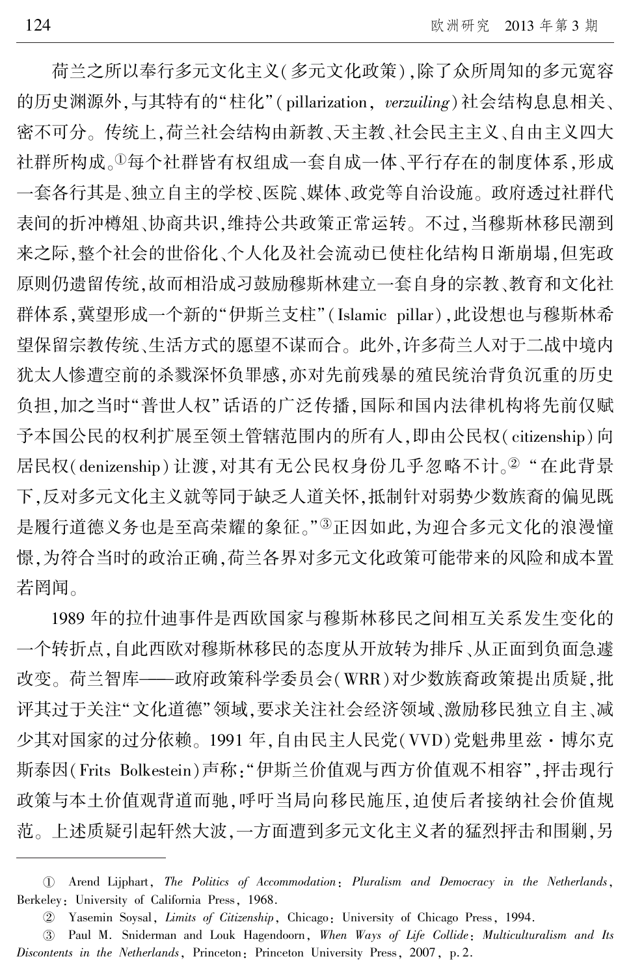荷兰之所以奉行多元文化主义(多元文化政策),除了众所周知的多元宽容 的历史渊源外,与其特有的"柱化"(pillarization, verzuiling)社会结构息息相关、 密不可分。 传统上,荷兰社会结构由新教、天主教、社会民主主义、自由主义四大 社群所构成。1每个社群皆有权组成一套自成一体、平行存在的制度体系,形成 一套各行其是、独立自主的学校、医院、媒体、政党等自治设施。 政府透过社群代 表间的折冲樽俎、协商共识,维持公共政策正常运转。 不过,当穆斯林移民潮到 来之际,整个社会的世俗化、个人化及社会流动已使柱化结构日渐崩塌,但宪政 原则仍遗留传统,故而相沿成习鼓励穆斯林建立一套自身的宗教、教育和文化社 群体系,冀望形成一个新的"伊斯兰支柱"(Islamic pillar),此设想也与穆斯林希 望保留宗教传统、生活方式的愿望不谋而合。 此外,许多荷兰人对于二战中境内 犹太人惨遭空前的杀戮深怀负罪感,亦对先前残暴的殖民统治背负沉重的历史 负担,加之当时"普世人权"话语的广泛传播,国际和国内法律机构将先前仅赋 予本国公民的权利扩展至领土管辖范围内的所有人,即由公民权(citizenship)向 居民权(denizenship) 让渡, 对其有无公民权身份几乎忽略不计。<sup>2</sup> " 在此背景 下,反对多元文化主义就等同于缺乏人道关怀,抵制针对弱势少数族裔的偏见既 是履行道德义务也是至高荣耀的象征。"3正因如此,为迎合多元文化的浪漫憧 憬,为符合当时的政治正确,荷兰各界对多元文化政策可能带来的风险和成本置 若罔闻。

1989 年的拉什迪事件是西欧国家与穆斯林移民之间相互关系发生变化的 一个转折点,自此西欧对穆斯林移民的态度从开放转为排斥、从正面到负面急遽 改变。 荷兰智库———政府政策科学委员会(WRR)对少数族裔政策提出质疑,批 评其过于关注"文化道德"领域,要求关注社会经济领域、激励移民独立自主、减 少其对国家的过分依赖。 1991 年,自由民主人民党(VVD)党魁弗里兹·博尔克 斯泰因(Frits Bolkestein)声称:"伊斯兰价值观与西方价值观不相容",抨击现行 政策与本土价值观背道而驰,呼吁当局向移民施压,迫使后者接纳社会价值规 范。 上述质疑引起轩然大波,一方面遭到多元文化主义者的猛烈抨击和围剿,另

淤 Arend Lijphart, The Politics of Accommodation: Pluralism and Democracy in the Netherlands, Berkeley: University of California Press, 1968.

于 Yasemin Soysal, Limits of Citizenship, Chicago: University of Chicago Press, 1994.

盂 Paul M. Sniderman and Louk Hagendoorn, When Ways of Life Collide: Multiculturalism and Its Discontents in the Netherlands, Princeton: Princeton University Press, 2007, p. 2.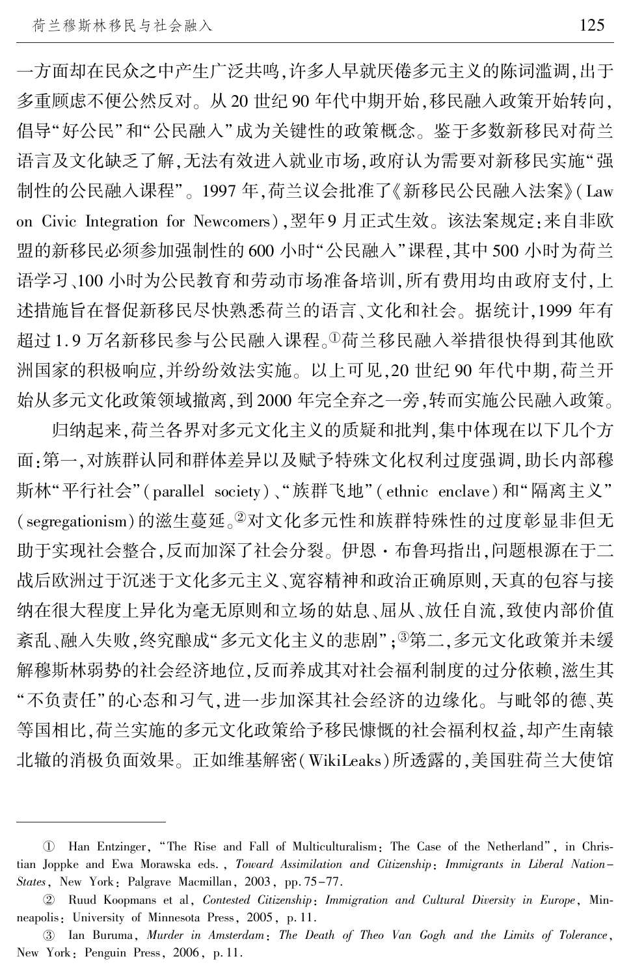一方面却在民众之中产生广泛共鸣,许多人早就厌倦多元主义的陈词滥调,出于 多重顾虑不便公然反对。 从 20 世纪 90 年代中期开始,移民融入政策开始转向, 倡导"好公民"和"公民融入"成为关键性的政策概念。 鉴于多数新移民对荷兰 语言及文化缺乏了解,无法有效进入就业市场,政府认为需要对新移民实施"强 制性的公民融入课程"。1997 年,荷兰议会批准了《新移民公民融入法案》 ( Law on Civic Integration for Newcomers),翌年9 月正式生效。 该法案规定:来自非欧 盟的新移民必须参加强制性的 600 小时"公民融入"课程,其中 500 小时为荷兰 语学习、100 小时为公民教育和劳动市场准备培训,所有费用均由政府支付,上 述措施旨在督促新移民尽快熟悉荷兰的语言、文化和社会。 据统计,1999 年有 超过 1.9 万名新移民参与公民融入课程。1荷兰移民融入举措很快得到其他欧 洲国家的积极响应,并纷纷效法实施。 以上可见,20 世纪 90 年代中期,荷兰开 始从多元文化政策领域撤离,到 2000 年完全弃之一旁,转而实施公民融入政策。

归纳起来,荷兰各界对多元文化主义的质疑和批判,集中体现在以下几个方 面:第一,对族群认同和群体差异以及赋予特殊文化权利过度强调,助长内部穆 斯林"平行社会"(parallel society)、"族群飞地"(ethnic enclave)和"隔离主义" (segregationism)的滋生蔓延。<sup>2</sup>对文化多元性和族群特殊性的过度彰显非但无 助于实现社会整合,反而加深了社会分裂。 伊恩·布鲁玛指出,问题根源在于二 战后欧洲过于沉迷于文化多元主义、宽容精神和政治正确原则,天真的包容与接 纳在很大程度上异化为毫无原则和立场的姑息、屈从、放任自流,致使内部价值 紊乱、融入失败,终究酿成"多元文化主义的悲剧"; ③第二,多元文化政策并未缓 解穆斯林弱势的社会经济地位,反而养成其对社会福利制度的过分依赖,滋生其 "不负责任"的心态和习气,进一步加深其社会经济的边缘化。与毗邻的德、英 等国相比,荷兰实施的多元文化政策给予移民慷慨的社会福利权益,却产生南辕 北辙的消极负面效果。 正如维基解密(WikiLeaks)所透露的,美国驻荷兰大使馆

 $\mathbb U$  Han Entzinger, "The Rise and Fall of Multiculturalism: The Case of the Netherland", in Christian Joppke and Ewa Morawska eds. , Toward Assimilation and Citizenship: Immigrants in Liberal Nation-States, New York: Palgrave Macmillan, 2003, pp. 75-77.

 $\textcircled{2}$  Ruud Koopmans et al, *Contested Citizenship*: *Immigration and Cultural Diversity in Europe*, Minneapolis: University of Minnesota Press, 2005, p. 11.

盂 Ian Buruma, Murder in Amsterdam: The Death of Theo Van Gogh and the Limits of Tolerance, New York: Penguin Press, 2006, p. 11.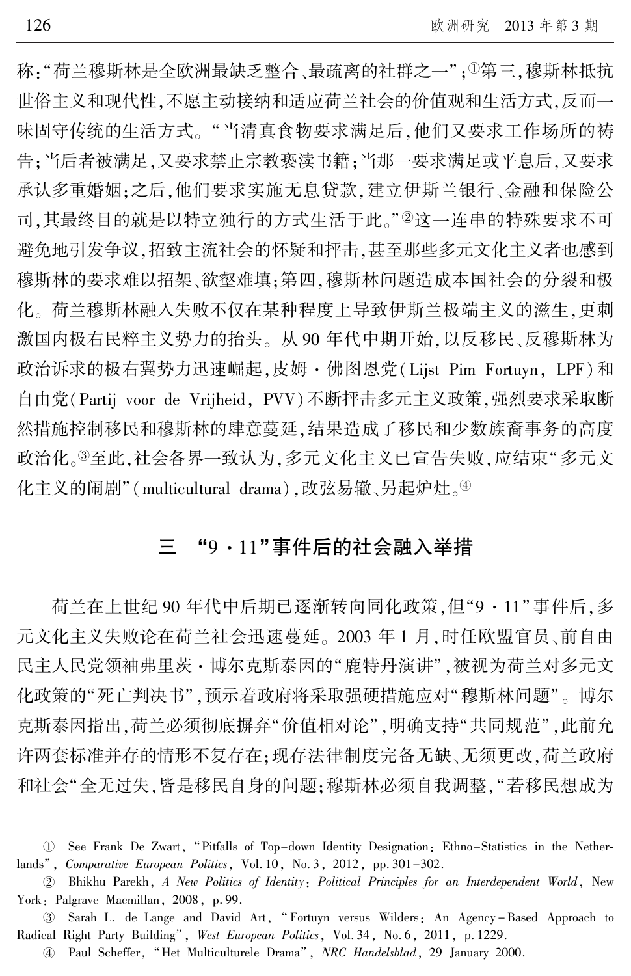称: "荷兰穆斯林是全欧洲最缺乏整合、最疏离的社群之一"; <sup>①</sup>第三,穆斯林抵抗 世俗主义和现代性,不愿主动接纳和适应荷兰社会的价值观和生活方式,反而一 味固守传统的生活方式。 "当清真食物要求满足后,他们又要求工作场所的祷 告;当后者被满足,又要求禁止宗教亵渎书籍;当那一要求满足或平息后,又要求 承认多重婚姻;之后,他们要求实施无息贷款,建立伊斯兰银行、金融和保险公 司,其最终目的就是以特立独行的方式生活于此。"2这一连串的特殊要求不可 避免地引发争议,招致主流社会的怀疑和抨击,甚至那些多元文化主义者也感到 穆斯林的要求难以招架、欲壑难填;第四,穆斯林问题造成本国社会的分裂和极 化。 荷兰穆斯林融入失败不仅在某种程度上导致伊斯兰极端主义的滋生,更刺 激国内极右民粹主义势力的抬头。 从 90 年代中期开始,以反移民、反穆斯林为 政治诉求的极右翼势力迅速崛起,皮姆·佛图恩党(Lijst Pim Fortuyn, LPF)和 自由党(Partij voor de Vrijheid, PVV)不断抨击多元主义政策,强烈要求采取断 然措施控制移民和穆斯林的肆意蔓延,结果造成了移民和少数族裔事务的高度 政治化。3至此,社会各界一致认为,多元文化主义已宣告失败,应结束"多元文 化主义的闹剧"(multicultural drama),改弦易辙、另起炉灶。④

#### 三 "9·11"事件后的社会融入举措

荷兰在上世纪 90年代中后期已逐渐转向同化政策,但"9·11"事件后,多 元文化主义失败论在荷兰社会迅速蔓延。 2003 年 1 月,时任欧盟官员、前自由 民主人民党领袖弗里茨·博尔克斯泰因的"鹿特丹演讲",被视为荷兰对多元文 化政策的"死亡判决书",预示着政府将采取强硬措施应对"穆斯林问题"。博尔 克斯泰因指出,荷兰必须彻底摒弃"价值相对论",明确支持"共同规范",此前允 许两套标准并存的情形不复存在;现存法律制度完备无缺、无须更改,荷兰政府 和社会"全无过失,皆是移民自身的问题;穆斯林必须自我调整,"若移民想成为

U See Frank De Zwart, "Pitfalls of Top-down Identity Designation: Ethno-Statistics in the Netherlands", *Comparative European Politics*, Vol. 10, No. 3, 2012, pp. 301-302.

于 Bhikhu Parekh, A New Politics of Identity: Political Principles for an Interdependent World, New York: Palgrave Macmillan, 2008, p. 99.

<sup>3)</sup> Sarah L. de Lange and David Art, "Fortuyn versus Wilders: An Agency–Based Approach to Radical Right Party Building", West European Politics, Vol. 34, No. 6, 2011, p. 1229.

<sup>4</sup> Paul Scheffer, "Het Multiculturele Drama", NRC Handelsblad, 29 January 2000.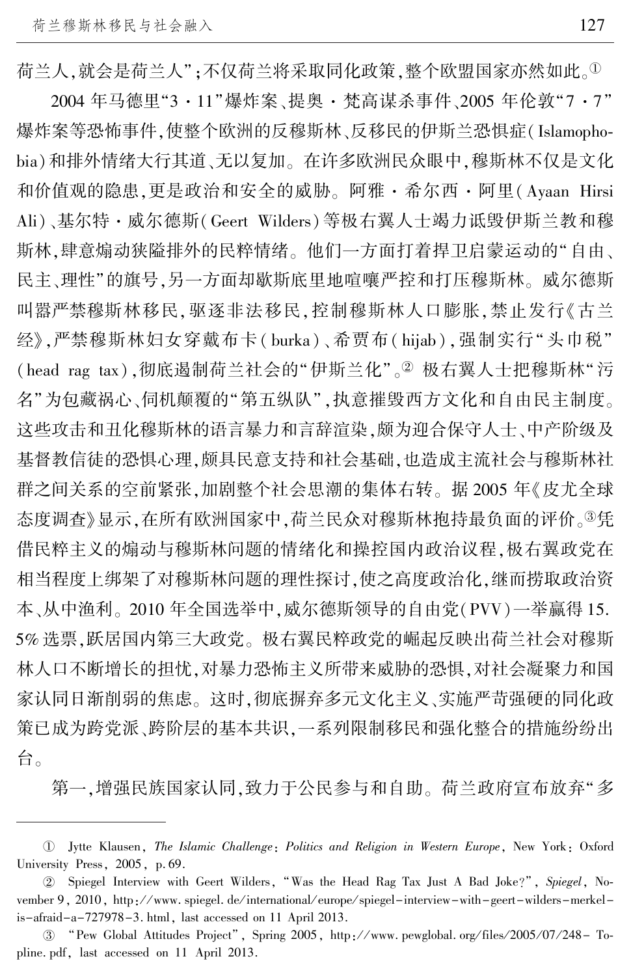荷兰人,就会是荷兰人";不仅荷兰将采取同化政策,整个欧盟国家亦然如此。<sup>①</sup>

2004年马德里"3·11"爆炸案、提奥·梵高谋杀事件、2005年伦敦"7·7" 爆炸案等恐怖事件,使整个欧洲的反穆斯林、反移民的伊斯兰恐惧症(Islamophobia)和排外情绪大行其道、无以复加。 在许多欧洲民众眼中,穆斯林不仅是文化 和价值观的隐患,更是政治和安全的威胁。 阿雅·希尔西·阿里(Ayaan Hirsi Ali)、基尔特·威尔德斯(Geert Wilders)等极右翼人士竭力诋毁伊斯兰教和穆 斯林,肆意煽动狭隘排外的民粹情绪。 他们一方面打着捍卫启蒙运动的"自由、 民主、理性"的旗号,另一方面却歇斯底里地喧嚷严控和打压穆斯林。 威尔德斯 叫嚣严禁穆斯林移民,驱逐非法移民,控制穆斯林人口膨胀,禁止发行《古兰 经》,严禁穆斯林妇女穿戴布卡( burka)、希贾布( hijab),强制实行"头巾税" (head rag tax),彻底遏制荷兰社会的"伊斯兰化"。<sup>2</sup> 极右翼人士把穆斯林"污 名"为包藏祸心、伺机颠覆的"第五纵队",执意摧毁西方文化和自由民主制度。 这些攻击和丑化穆斯林的语言暴力和言辞渲染,颇为迎合保守人士、中产阶级及 基督教信徒的恐惧心理,颇具民意支持和社会基础,也造成主流社会与穆斯林社 群之间关系的空前紧张,加剧整个社会思潮的集体右转。 据 2005 年《皮尤全球 态度调查》显示,在所有欧洲国家中,荷兰民众对穆斯林抱持最负面的评价。<sup>3</sup>凭 借民粹主义的煽动与穆斯林问题的情绪化和操控国内政治议程,极右翼政党在 相当程度上绑架了对穆斯林问题的理性探讨,使之高度政治化,继而捞取政治资 本、从中渔利。 2010 年全国选举中,威尔德斯领导的自由党(PVV)一举赢得 15. 5% 选票,跃居国内第三大政党。 极右翼民粹政党的崛起反映出荷兰社会对穆斯 林人口不断增长的担忧,对暴力恐怖主义所带来威胁的恐惧,对社会凝聚力和国 家认同日渐削弱的焦虑。 这时,彻底摒弃多元文化主义、实施严苛强硬的同化政 策已成为跨党派、跨阶层的基本共识,一系列限制移民和强化整合的措施纷纷出 台。

第一,增强民族国家认同,致力于公民参与和自助。 荷兰政府宣布放弃"多

 $\mathbb D$  Jytte Klausen, *The Islamic Challenge*: *Politics and Religion in Western Europe*, New York: Oxford University Press, 2005, p. 69.

<sup>2</sup> Spiegel Interview with Geert Wilders, "Was the Head Rag Tax Just A Bad Joke?", Spiegel, November 9, 2010, http://www.spiegel.de/international/europe/spiegel-interview-with-geert-wilders-merkelis-afraid-a-727978-3. html, last accessed on 11 April 2013.

 $\textcircled{3}$  "Pew Global Attitudes Project", Spring 2005, http://www.pewglobal.org/files/2005/07/248– To pline. pdf, last accessed on 11 April 2013.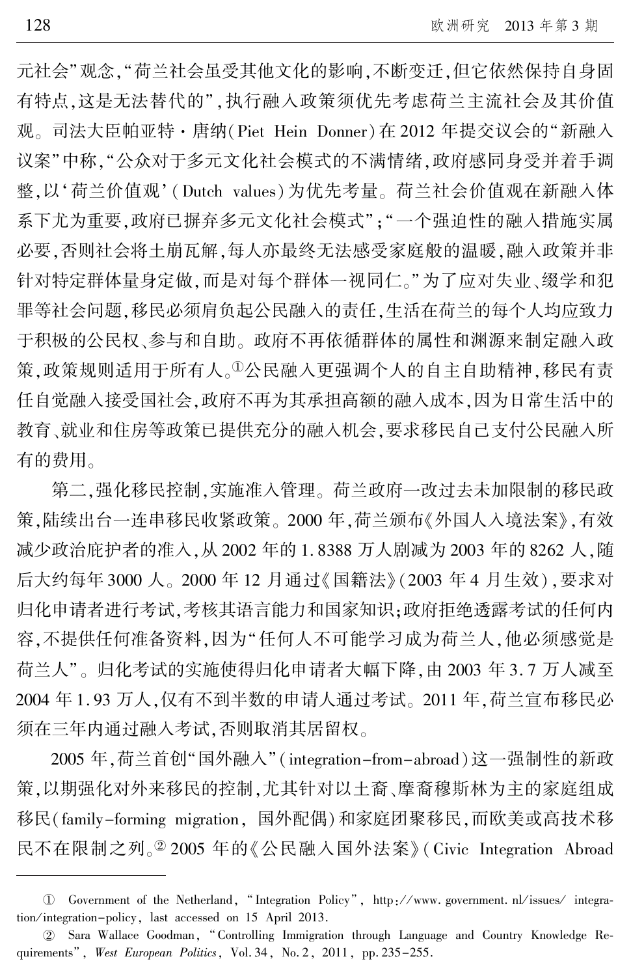元社会"观念,"荷兰社会虽受其他文化的影响,不断变迁,但它依然保持自身固 有特点,这是无法替代的",执行融入政策须优先考虑荷兰主流社会及其价值 观。 司法大臣帕亚特·唐纳(Piet Hein Donner)在 2012 年提交议会的"新融入 议案"中称,"公众对于多元文化社会模式的不满情绪,政府感同身受并着手调 整,以'荷兰价值观'(Dutch values)为优先考量。荷兰社会价值观在新融入体 系下尤为重要,政府已摒弃多元文化社会模式";"一个强迫性的融入措施实属 必要,否则社会将土崩瓦解,每人亦最终无法感受家庭般的温暖,融入政策并非 针对特定群体量身定做,而是对每个群体一视同仁。"为了应对失业、缀学和犯 罪等社会问题,移民必须肩负起公民融入的责任,生活在荷兰的每个人均应致力 于积极的公民权、参与和自助。 政府不再依循群体的属性和渊源来制定融入政 策.政策规则适用于所有人。1公民融入更强调个人的自主自助精神,移民有责 任自觉融入接受国社会,政府不再为其承担高额的融入成本,因为日常生活中的 教育、就业和住房等政策已提供充分的融入机会,要求移民自己支付公民融入所 有的费用。

第二,强化移民控制,实施准入管理。 荷兰政府一改过去未加限制的移民政 策,陆续出台一连串移民收紧政策。 2000 年,荷兰颁布《外国人入境法案》,有效 减少政治庇护者的准入,从 2002 年的 1. 8388 万人剧减为 2003 年的 8262 人,随 后大约每年 3000 人。 2000 年 12 月通过《国籍法》 (2003 年 4 月生效),要求对 归化申请者进行考试,考核其语言能力和国家知识;政府拒绝透露考试的任何内 容,不提供任何准备资料,因为"任何人不可能学习成为荷兰人,他必须感觉是 荷兰人"。归化考试的实施使得归化申请者大幅下降,由 2003 年 3. 7 万人减至 2004 年 1. 93 万人,仅有不到半数的申请人通过考试。 2011 年,荷兰宣布移民必 须在三年内通过融入考试,否则取消其居留权。

2005年,荷兰首创"国外融入"(integration-from-abroad)这一强制性的新政 策,以期强化对外来移民的控制,尤其针对以土裔、摩裔穆斯林为主的家庭组成 移民(family-forming migration, 国外配偶)和家庭团聚移民,而欧美或高技术移 民不在限制之列。<sup>20</sup> 2005 年的《公民融入国外法案》 (Civic Integration Abroad

<sup>(1)</sup> Government of the Netherland, "Integration Policy", http://www.government. nl/issues/integration/integration-policy, last accessed on 15 April 2013.

 $\textcircled{2}$  Sara Wallace Goodman, "Controlling Immigration through Language and Country Knowledge Requirements", West European Politics, Vol. 34, No. 2, 2011, pp. 235-255.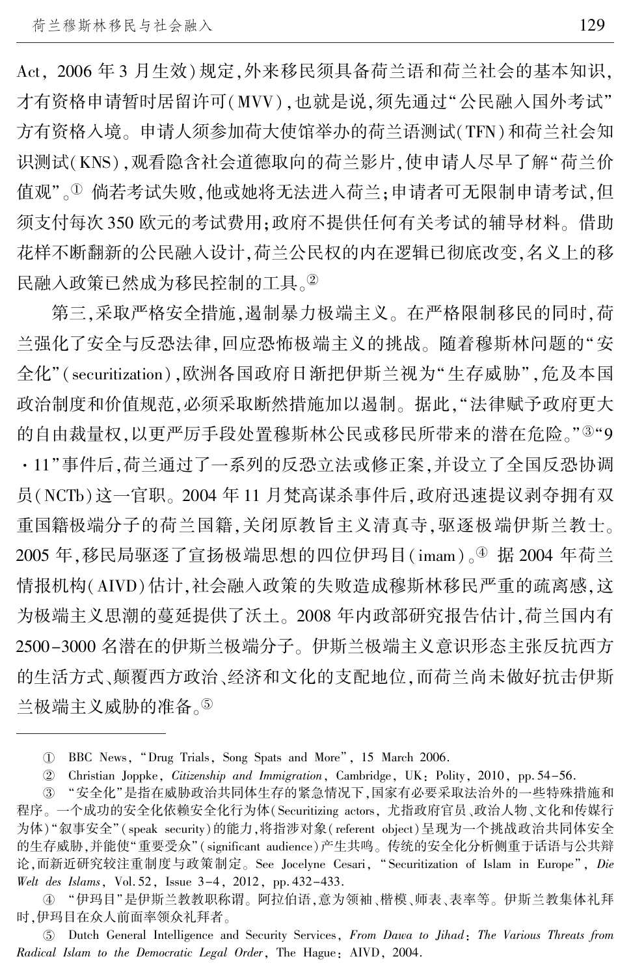Act, 2006 年 3 月生效)规定,外来移民须具备荷兰语和荷兰社会的基本知识, 才有资格申请暂时居留许可(MVV),也就是说,须先通过"公民融入国外考试" 方有资格入境。 申请人须参加荷大使馆举办的荷兰语测试(TFN)和荷兰社会知 识测试(KNS),观看隐含社会道德取向的荷兰影片,使申请人尽早了解"荷兰价 值观"。<sup>①</sup> 倘若考试失败,他或她将无法进入荷兰;申请者可无限制申请考试,但 须支付每次 350 欧元的考试费用;政府不提供任何有关考试的辅导材料。 借助 花样不断翻新的公民融入设计,荷兰公民权的内在逻辑已彻底改变,名义上的移 民融入政策已然成为移民控制的工具。②

第三,采取严格安全措施,遏制暴力极端主义。 在严格限制移民的同时,荷 兰强化了安全与反恐法律,回应恐怖极端主义的挑战。 随着穆斯林问题的"安 全化"(securitization),欧洲各国政府日渐把伊斯兰视为"生存威胁",危及本国 政治制度和价值规范,必须采取断然措施加以遏制。 据此,"法律赋予政府更大 的自由裁量权,以更严厉手段处置穆斯林公民或移民所带来的潜在危险。"<sup>3</sup> "9 ·11"事件后,荷兰通过了一系列的反恐立法或修正案,并设立了全国反恐协调 员(NCTb)这一官职。 2004 年 11 月梵高谋杀事件后,政府迅速提议剥夺拥有双 重国籍极端分子的荷兰国籍,关闭原教旨主义清真寺,驱逐极端伊斯兰教士。 2005年,移民局驱逐了宣扬极端思想的四位伊玛目( imam)。 $\stackrel{\textcircled{\textrm{4}}}{{}}\,$ 据 2004 年荷兰 情报机构(AIVD)估计,社会融入政策的失败造成穆斯林移民严重的疏离感,这 为极端主义思潮的蔓延提供了沃土。 2008 年内政部研究报告估计,荷兰国内有 2500-3000 名潜在的伊斯兰极端分子。 伊斯兰极端主义意识形态主张反抗西方 的生活方式、颠覆西方政治、经济和文化的支配地位,而荷兰尚未做好抗击伊斯 兰极端主义威胁的准备。5

④ "伊玛目"是伊斯兰教教职称谓。 阿拉伯语,意为领袖、楷模、师表、表率等。 伊斯兰教集体礼拜 时,伊玛目在众人前面率领众礼拜者。

虞 Dutch General Intelligence and Security Services, From Dawa to Jihad: The Various Threats from Radical Islam to the Democratic Legal Order, The Hague: AIVD, 2004.

淤 BBC News, "Drug Trials, Song Spats and More冶, 15 March 2006.

于 Christian Joppke, Citizenship and Immigration, Cambridge, UK: Polity, 2010, pp. 54-56.

③ "安全化"是指在威胁政治共同体生存的紧急情况下,国家有必要采取法治外的一些特殊措施和 程序。 一个成功的安全化依赖安全化行为体(Securitizing actors, 尤指政府官员、政治人物、文化和传媒行 为体) "叙事安全"(speak security)的能力,将指涉对象( referent object)呈现为一个挑战政治共同体安全 的生存威胁,并能使"重要受众"(significant audience)产生共鸣。传统的安全化分析侧重于话语与公共辩 论,而新近研究较注重制度与政策制定。 See Jocelyne Cesari, " Securitization of Islam in Europe", Die Welt des Islams, Vol. 52, Issue 3-4, 2012, pp. 432-433.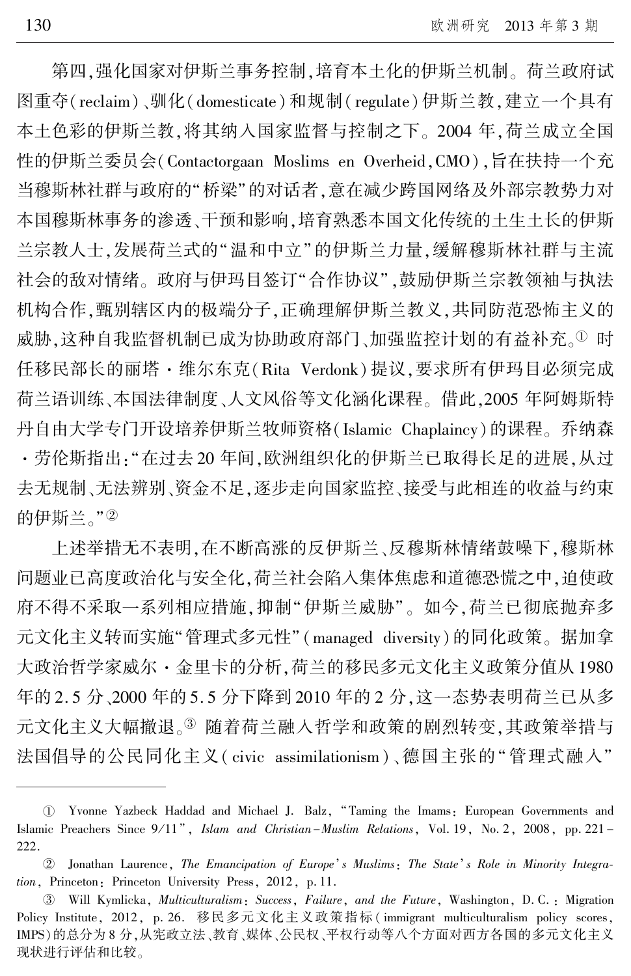第四,强化国家对伊斯兰事务控制,培育本土化的伊斯兰机制。 荷兰政府试 图重夺(reclaim)、驯化( domesticate)和规制( regulate)伊斯兰教,建立一个具有 本土色彩的伊斯兰教,将其纳入国家监督与控制之下。 2004 年,荷兰成立全国 性的伊斯兰委员会(Contactorgaan Moslims en Overheid,CMO),旨在扶持一个充 当穆斯林社群与政府的"桥梁"的对话者,意在减少跨国网络及外部宗教势力对 本国穆斯林事务的渗透、干预和影响,培育熟悉本国文化传统的土生土长的伊斯 兰宗教人士,发展荷兰式的"温和中立"的伊斯兰力量,缓解穆斯林社群与主流 社会的敌对情绪。政府与伊玛目签订"合作协议",鼓励伊斯兰宗教领袖与执法 机构合作,甄别辖区内的极端分子,正确理解伊斯兰教义,共同防范恐怖主义的 威胁,这种自我监督机制已成为协助政府部门、加强监控计划的有益补充。1 时 任移民部长的丽塔·维尔东克(Rita Verdonk)提议,要求所有伊玛目必须完成 荷兰语训练、本国法律制度、人文风俗等文化涵化课程。 借此,2005 年阿姆斯特 丹自由大学专门开设培养伊斯兰牧师资格(Islamic Chaplaincy)的课程。 乔纳森 ·劳伦斯指出:"在过去 20 年间,欧洲组织化的伊斯兰已取得长足的进展,从过 去无规制、无法辨别、资金不足,逐步走向国家监控、接受与此相连的收益与约束 的伊斯兰。"2

上述举措无不表明,在不断高涨的反伊斯兰、反穆斯林情绪鼓噪下,穆斯林 问题业已高度政治化与安全化,荷兰社会陷入集体焦虑和道德恐慌之中,迫使政 府不得不采取一系列相应措施,抑制"伊斯兰威胁"。如今,荷兰已彻底抛弃多 元文化主义转而实施"管理式多元性"(managed diversity)的同化政策。据加拿 大政治哲学家威尔·金里卡的分析,荷兰的移民多元文化主义政策分值从 1980 年的 2. 5 分、2000 年的 5. 5 分下降到 2010 年的 2 分,这一态势表明荷兰已从多 元文化主义大幅撤退。3 随着荷兰融入哲学和政策的剧烈转变,其政策举措与 法国倡导的公民同化主义( civic assimilationism)、德国主张的"管理式融入"

淤 Yvonne Yazbeck Haddad and Michael J. Balz, "Taming the Imams: European Governments and Islamic Preachers Since  $9/11$ <sup>n</sup>, Islam and Christian-Muslim Relations, Vol. 19, No. 2, 2008, pp. 221 -222.

<sup>2</sup> Jonathan Laurence, The Emancipation of Europe's Muslims: The State's Role in Minority Integration, Princeton: Princeton University Press, 2012, p. 11.

<sup>3</sup> Will Kymlicka, *Multiculturalism*: Success, Failure, and the Future, Washington, D.C.: Migration Policy Institute, 2012, p. 26. 移民多元文化主义政策指标( immigrant multiculturalism policy scores, IMPS)的总分为 8 分,从宪政立法、教育、媒体、公民权、平权行动等八个方面对西方各国的多元文化主义 现状进行评估和比较。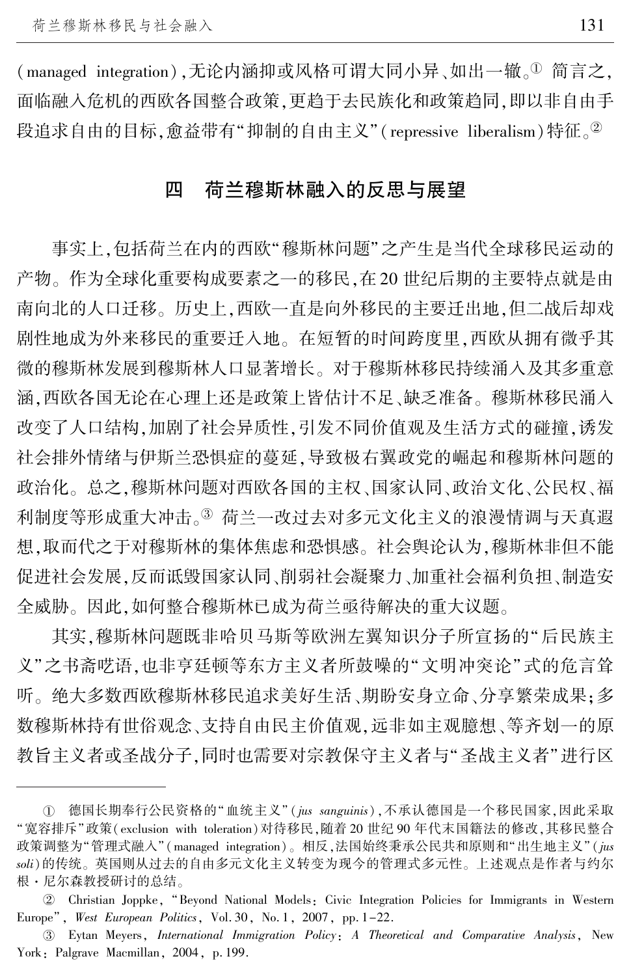$($  managed integration $)$ , 无论内涵抑或风格可谓大同小异、如出一辙。①简言之, 面临融入危机的西欧各国整合政策,更趋于去民族化和政策趋同,即以非自由手 段追求自由的目标,愈益带有"抑制的自由主义"(repressive liberalism)特征。<sup>2</sup>

#### 四 荷兰穆斯林融入的反思与展望

事实上,包括荷兰在内的西欧"穆斯林问题"之产生是当代全球移民运动的 产物。 作为全球化重要构成要素之一的移民,在 20 世纪后期的主要特点就是由 南向北的人口迁移。 历史上,西欧一直是向外移民的主要迁出地,但二战后却戏 剧性地成为外来移民的重要迁入地。 在短暂的时间跨度里,西欧从拥有微乎其 微的穆斯林发展到穆斯林人口显著增长。 对于穆斯林移民持续涌入及其多重意 涵,西欧各国无论在心理上还是政策上皆估计不足、缺乏准备。 穆斯林移民涌入 改变了人口结构,加剧了社会异质性,引发不同价值观及生活方式的碰撞,诱发 社会排外情绪与伊斯兰恐惧症的蔓延,导致极右翼政党的崛起和穆斯林问题的 政治化。 总之,穆斯林问题对西欧各国的主权、国家认同、政治文化、公民权、福 利制度等形成重大冲击。3 荷兰一改过去对多元文化主义的浪漫情调与天真遐 想,取而代之于对穆斯林的集体焦虑和恐惧感。 社会舆论认为,穆斯林非但不能 促进社会发展,反而诋毁国家认同、削弱社会凝聚力、加重社会福利负担、制造安 全威胁。 因此,如何整合穆斯林已成为荷兰亟待解决的重大议题。

其实,穆斯林问题既非哈贝马斯等欧洲左翼知识分子所宣扬的"后民族主 义"之书斋呓语,也非亨廷顿等东方主义者所鼓噪的"文明冲突论"式的危言耸 听。 绝大多数西欧穆斯林移民追求美好生活、期盼安身立命、分享繁荣成果;多 数穆斯林持有世俗观念、支持自由民主价值观,远非如主观臆想、等齐划一的原 教旨主义者或圣战分子,同时也需要对宗教保守主义者与"圣战主义者"进行区

① 德国长期奉行公民资格的"血统主义"(jus sanguinis),不承认德国是一个移民国家,因此采取 "宽容排斥"政策(exclusion with toleration)对待移民,随着 20 世纪 90 年代末国籍法的修改,其移民整合 政策调整为"管理式融入"(managed integration)。相反,法国始终秉承公民共和原则和"出生地主义"(jus soli)的传统。 英国则从过去的自由多元文化主义转变为现今的管理式多元性。 上述观点是作者与约尔 根・尼尔森教授研讨的总结。

于 Christian Joppke, "Beyond National Models: Civic Integration Policies for Immigrants in Western Europe", West European Politics, Vol. 30, No. 1, 2007, pp. 1-22.

盂 Eytan Meyers, International Immigration Policy: A Theoretical and Comparative Analysis, New York: Palgrave Macmillan, 2004, p. 199.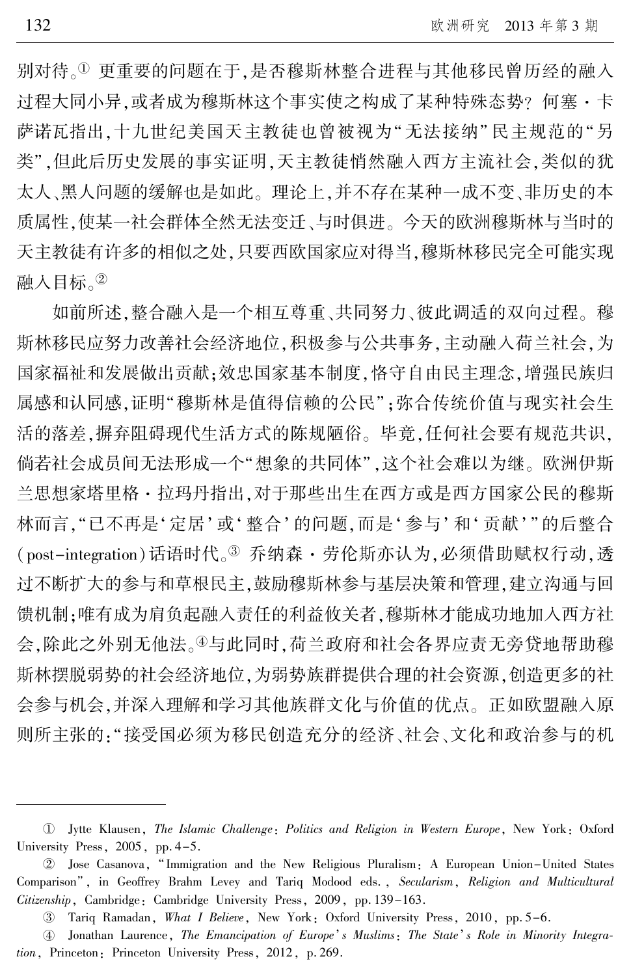别对待。1 更重要的问题在于,是否穆斯林整合进程与其他移民曾历经的融入 过程大同小异,或者成为穆斯林这个事实使之构成了某种特殊态势? 何塞·卡 萨诺瓦指出,十九世纪美国天主教徒也曾被视为"无法接纳"民主规范的"另 类",但此后历史发展的事实证明,天主教徒悄然融入西方主流社会,类似的犹 太人、黑人问题的缓解也是如此。 理论上,并不存在某种一成不变、非历史的本 质属性,使某一社会群体全然无法变迁、与时俱进。 今天的欧洲穆斯林与当时的 天主教徒有许多的相似之处,只要西欧国家应对得当,穆斯林移民完全可能实现 融入目标。2

如前所述,整合融入是一个相互尊重、共同努力、彼此调适的双向过程。 穆 斯林移民应努力改善社会经济地位,积极参与公共事务,主动融入荷兰社会,为 国家福祉和发展做出贡献;效忠国家基本制度,恪守自由民主理念,增强民族归 属感和认同感,证明"穆斯林是值得信赖的公民";弥合传统价值与现实社会生 活的落差,摒弃阻碍现代生活方式的陈规陋俗。 毕竟,任何社会要有规范共识, 倘若社会成员间无法形成一个"想象的共同体",这个社会难以为继。 欧洲伊斯 兰思想家塔里格·拉玛丹指出,对于那些出生在西方或是西方国家公民的穆斯 林而言, "已不再是'定居'或'整合'的问题, 而是'参与'和'贡献'"的后整合 (post-integration)话语时代。3 乔纳森·劳伦斯亦认为,必须借助赋权行动,透 过不断扩大的参与和草根民主,鼓励穆斯林参与基层决策和管理,建立沟通与回 馈机制;唯有成为肩负起融入责任的利益攸关者,穆斯林才能成功地加入西方社 会,除此之外别无他法。<sup>榆</sup>与此同时,荷兰政府和社会各界应责无旁贷地帮助穆 斯林摆脱弱势的社会经济地位,为弱势族群提供合理的社会资源,创造更多的社 会参与机会,并深入理解和学习其他族群文化与价值的优点。 正如欧盟融入原 则所主张的:"接受国必须为移民创造充分的经济、社会、文化和政治参与的机

淤 Jytte Klausen, The Islamic Challenge: Politics and Religion in Western Europe, New York: Oxford University Press, 2005, pp. 4-5.

于 Jose Casanova, "Immigration and the New Religious Pluralism: A European Union-United States Comparison", in Geoffrey Brahm Levey and Tariq Modood eds., Secularism, Religion and Multicultural Citizenship, Cambridge: Cambridge University Press, 2009, pp. 139-163.

<sup>3</sup> Tariq Ramadan, What I Believe, New York: Oxford University Press, 2010, pp. 5-6.

**<sup>4</sup>** Jonathan Laurence, The Emancipation of Europe's Muslims: The State's Role in Minority Integration, Princeton: Princeton University Press, 2012, p. 269.